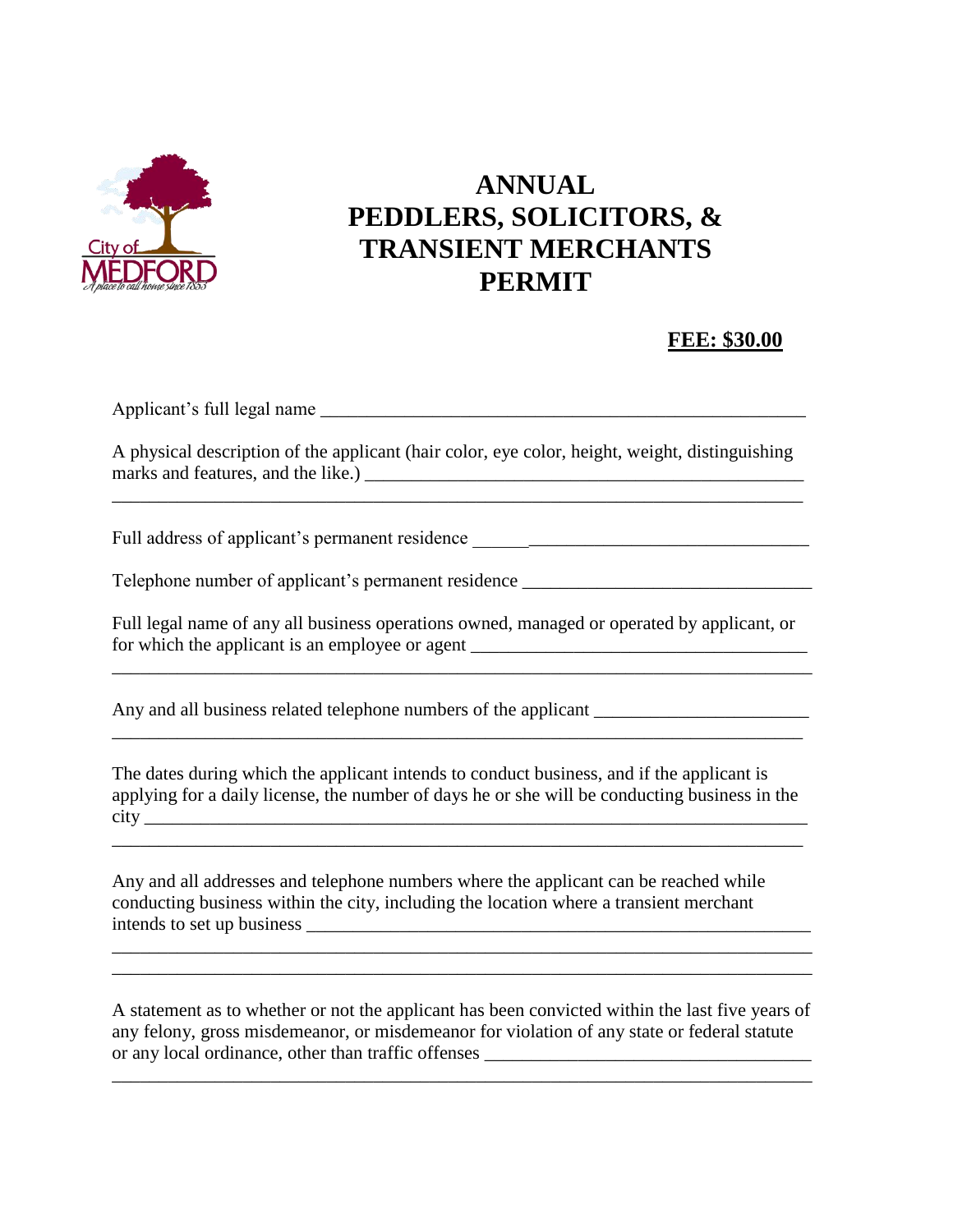

## **ANNUAL PEDDLERS, SOLICITORS, & TRANSIENT MERCHANTS PERMIT**

## **FEE: \$30.00**

Applicant's full legal name \_\_\_\_\_\_\_\_\_\_\_\_\_\_\_\_\_\_\_\_\_\_\_\_\_\_\_\_\_\_\_\_\_\_\_\_\_\_\_\_\_\_\_\_\_\_\_\_\_\_\_\_

A physical description of the applicant (hair color, eye color, height, weight, distinguishing marks and features, and the like.) \_\_\_\_\_\_\_\_\_\_\_\_\_\_\_\_\_\_\_\_\_\_\_\_\_\_\_\_\_\_\_\_\_\_\_\_\_\_\_\_\_\_\_\_\_\_\_

\_\_\_\_\_\_\_\_\_\_\_\_\_\_\_\_\_\_\_\_\_\_\_\_\_\_\_\_\_\_\_\_\_\_\_\_\_\_\_\_\_\_\_\_\_\_\_\_\_\_\_\_\_\_\_\_\_\_\_\_\_\_\_\_\_\_\_\_\_\_\_\_\_\_

Full address of applicant's permanent residence \_\_\_\_\_\_\_\_\_\_\_\_\_\_\_\_\_\_\_\_\_\_\_\_\_\_\_\_\_\_\_\_

Telephone number of applicant's permanent residence \_\_\_\_\_\_\_\_\_\_\_\_\_\_\_\_\_\_\_\_\_\_\_\_\_\_\_\_

Full legal name of any all business operations owned, managed or operated by applicant, or for which the applicant is an employee or agent \_\_\_\_\_\_\_\_\_\_\_\_\_\_\_\_\_\_\_\_\_\_\_\_\_\_\_\_\_\_\_\_\_

Any and all business related telephone numbers of the applicant \_\_\_\_\_\_\_\_\_\_\_\_\_\_\_\_\_

The dates during which the applicant intends to conduct business, and if the applicant is applying for a daily license, the number of days he or she will be conducting business in the city \_\_\_\_\_\_\_\_\_\_\_\_\_\_\_\_\_\_\_\_\_\_\_\_\_\_\_\_\_\_\_\_\_\_\_\_\_\_\_\_\_\_\_\_\_\_\_\_\_\_\_\_\_\_\_\_\_\_\_\_\_\_\_\_\_\_\_\_\_\_\_

\_\_\_\_\_\_\_\_\_\_\_\_\_\_\_\_\_\_\_\_\_\_\_\_\_\_\_\_\_\_\_\_\_\_\_\_\_\_\_\_\_\_\_\_\_\_\_\_\_\_\_\_\_\_\_\_\_\_\_\_\_\_\_\_\_\_\_\_\_\_\_\_\_\_

 $\Box$ 

Any and all addresses and telephone numbers where the applicant can be reached while conducting business within the city, including the location where a transient merchant intends to set up business \_\_\_\_\_\_\_\_\_\_\_\_\_\_\_\_\_\_\_\_\_\_\_\_\_\_\_\_\_\_\_\_\_\_\_\_\_\_\_\_\_\_\_\_\_\_\_\_\_\_\_\_\_\_

A statement as to whether or not the applicant has been convicted within the last five years of any felony, gross misdemeanor, or misdemeanor for violation of any state or federal statute or any local ordinance, other than traffic offenses

\_\_\_\_\_\_\_\_\_\_\_\_\_\_\_\_\_\_\_\_\_\_\_\_\_\_\_\_\_\_\_\_\_\_\_\_\_\_\_\_\_\_\_\_\_\_\_\_\_\_\_\_\_\_\_\_\_\_\_\_\_\_\_\_\_\_\_\_\_\_\_\_\_\_\_

\_\_\_\_\_\_\_\_\_\_\_\_\_\_\_\_\_\_\_\_\_\_\_\_\_\_\_\_\_\_\_\_\_\_\_\_\_\_\_\_\_\_\_\_\_\_\_\_\_\_\_\_\_\_\_\_\_\_\_\_\_\_\_\_\_\_\_\_\_\_\_\_\_\_\_ \_\_\_\_\_\_\_\_\_\_\_\_\_\_\_\_\_\_\_\_\_\_\_\_\_\_\_\_\_\_\_\_\_\_\_\_\_\_\_\_\_\_\_\_\_\_\_\_\_\_\_\_\_\_\_\_\_\_\_\_\_\_\_\_\_\_\_\_\_\_\_\_\_\_\_